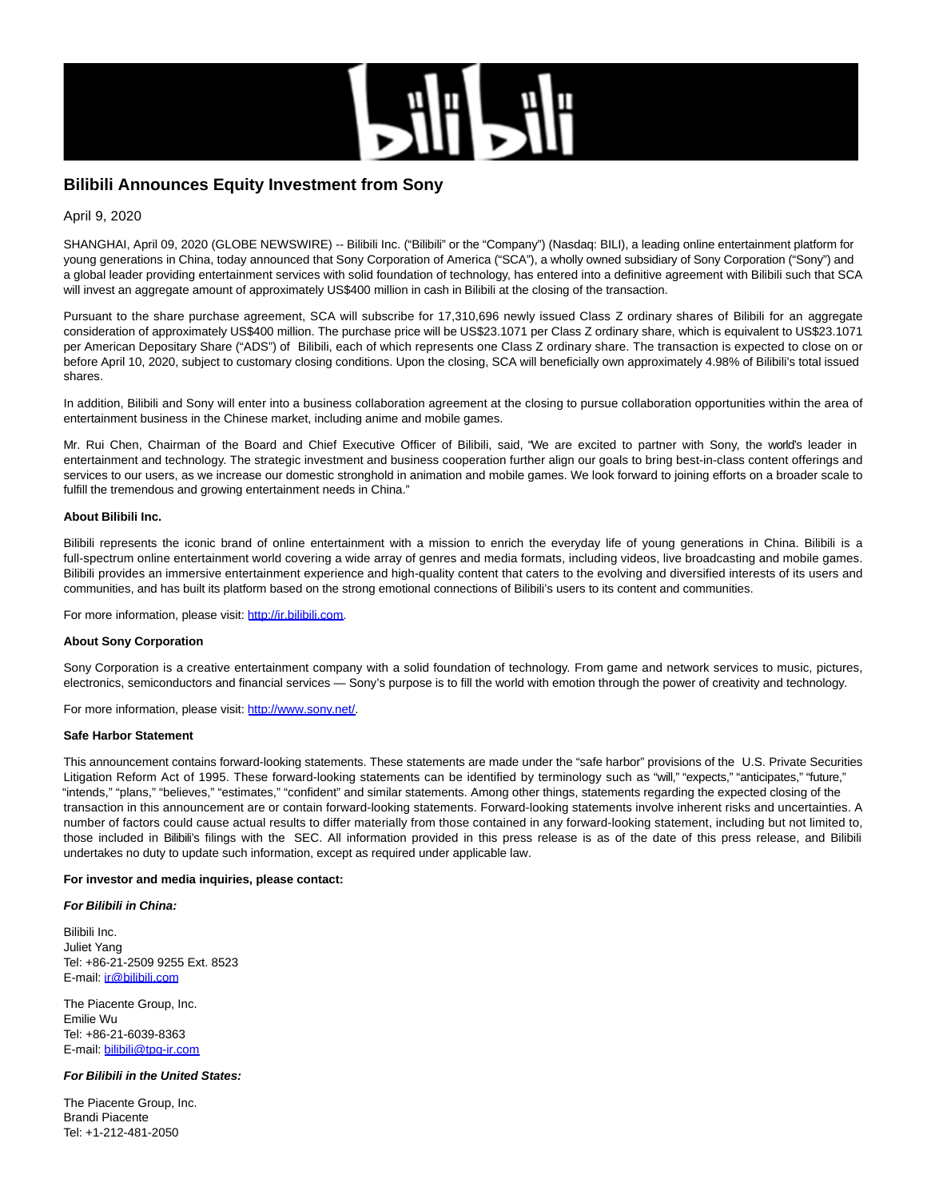

# **Bilibili Announces Equity Investment from Sony**

April 9, 2020

SHANGHAI, April 09, 2020 (GLOBE NEWSWIRE) -- Bilibili Inc. ("Bilibili" or the "Company") (Nasdaq: BILI), a leading online entertainment platform for young generations in China, today announced that Sony Corporation of America ("SCA"), a wholly owned subsidiary of Sony Corporation ("Sony") and a global leader providing entertainment services with solid foundation of technology, has entered into a definitive agreement with Bilibili such that SCA will invest an aggregate amount of approximately US\$400 million in cash in Bilibili at the closing of the transaction.

Pursuant to the share purchase agreement, SCA will subscribe for 17,310,696 newly issued Class Z ordinary shares of Bilibili for an aggregate consideration of approximately US\$400 million. The purchase price will be US\$23.1071 per Class Z ordinary share, which is equivalent to US\$23.1071 per American Depositary Share ("ADS") of Bilibili, each of which represents one Class Z ordinary share. The transaction is expected to close on or before April 10, 2020, subject to customary closing conditions. Upon the closing, SCA will beneficially own approximately 4.98% of Bilibili's total issued shares.

In addition, Bilibili and Sony will enter into a business collaboration agreement at the closing to pursue collaboration opportunities within the area of entertainment business in the Chinese market, including anime and mobile games.

Mr. Rui Chen, Chairman of the Board and Chief Executive Officer of Bilibili, said, "We are excited to partner with Sony, the world's leader in entertainment and technology. The strategic investment and business cooperation further align our goals to bring best-in-class content offerings and services to our users, as we increase our domestic stronghold in animation and mobile games. We look forward to joining efforts on a broader scale to fulfill the tremendous and growing entertainment needs in China."

## **About Bilibili Inc.**

Bilibili represents the iconic brand of online entertainment with a mission to enrich the everyday life of young generations in China. Bilibili is a full-spectrum online entertainment world covering a wide array of genres and media formats, including videos, live broadcasting and mobile games. Bilibili provides an immersive entertainment experience and high-quality content that caters to the evolving and diversified interests of its users and communities, and has built its platform based on the strong emotional connections of Bilibili's users to its content and communities.

For more information, please visit: [http://ir.bilibili.com.](https://www.globenewswire.com/Tracker?data=Q3tU4jeYmv1ThDhDGi9gdr3-cNPfU5scJyvYjvoXhBviPoIJLIHdb2LTfr9l1Fmfv1xDWuDBmzPuEqwVTB490bFKvplTHuW6LJKML1CbGKo=)

### **About Sony Corporation**

Sony Corporation is a creative entertainment company with a solid foundation of technology. From game and network services to music, pictures, electronics, semiconductors and financial services — Sony's purpose is to fill the world with emotion through the power of creativity and technology.

For more information, please visit: [http://www.sony.net/.](https://www.globenewswire.com/Tracker?data=Q3tU4jeYmv1ThDhDGi9gdqRvtPiediULn4giOGLTIMh_1hcxcuUtug_on6pNlw5aO58j82_1ePNzVXIqUXmpjQ==)

### **Safe Harbor Statement**

This announcement contains forward-looking statements. These statements are made under the "safe harbor" provisions of the U.S. Private Securities Litigation Reform Act of 1995. These forward-looking statements can be identified by terminology such as "will," "expects," "anticipates," "future," "intends," "plans," "believes," "estimates," "confident" and similar statements. Among other things, statements regarding the expected closing of the transaction in this announcement are or contain forward-looking statements. Forward-looking statements involve inherent risks and uncertainties. A number of factors could cause actual results to differ materially from those contained in any forward-looking statement, including but not limited to, those included in Bilibili's filings with the SEC. All information provided in this press release is as of the date of this press release, and Bilibili undertakes no duty to update such information, except as required under applicable law.

### **For investor and media inquiries, please contact:**

### **For Bilibili in China:**

Bilibili Inc. Juliet Yang Tel: +86-21-2509 9255 Ext. 8523 E-mail: [ir@bilibili.com](mailto:ir@bilibili.com)

The Piacente Group, Inc. Emilie Wu Tel: +86-21-6039-8363 E-mail: [bilibili@tpg-ir.com](mailto:bilibili@tpg-ir.com)

### **For Bilibili in the United States:**

The Piacente Group, Inc. Brandi Piacente Tel: +1-212-481-2050